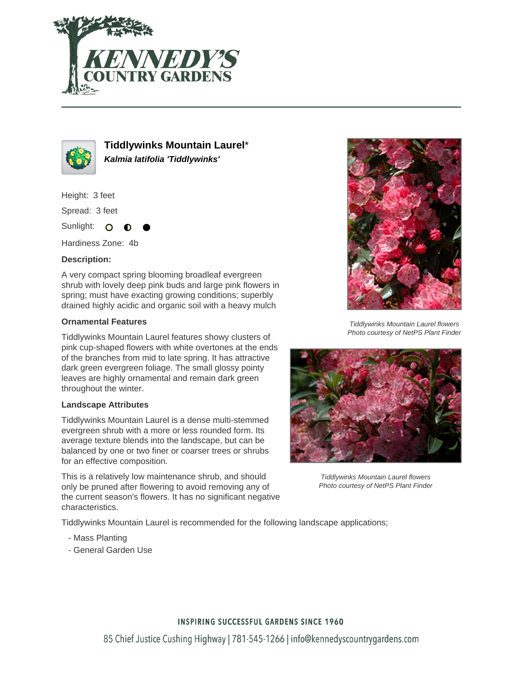



**Tiddlywinks Mountain Laurel**\* **Kalmia latifolia 'Tiddlywinks'**

Height: 3 feet

Spread: 3 feet

Sunlight: O

Hardiness Zone: 4b

## **Description:**

A very compact spring blooming broadleaf evergreen shrub with lovely deep pink buds and large pink flowers in spring; must have exacting growing conditions; superbly drained highly acidic and organic soil with a heavy mulch

## **Ornamental Features**

Tiddlywinks Mountain Laurel features showy clusters of pink cup-shaped flowers with white overtones at the ends of the branches from mid to late spring. It has attractive dark green evergreen foliage. The small glossy pointy leaves are highly ornamental and remain dark green throughout the winter.

## **Landscape Attributes**

Tiddlywinks Mountain Laurel is a dense multi-stemmed evergreen shrub with a more or less rounded form. Its average texture blends into the landscape, but can be balanced by one or two finer or coarser trees or shrubs for an effective composition.

This is a relatively low maintenance shrub, and should only be pruned after flowering to avoid removing any of the current season's flowers. It has no significant negative characteristics.



Tiddlywinks Mountain Laurel flowers Photo courtesy of NetPS Plant Finder



Tiddlywinks Mountain Laurel flowers Photo courtesy of NetPS Plant Finder

Tiddlywinks Mountain Laurel is recommended for the following landscape applications;

- Mass Planting
- General Garden Use